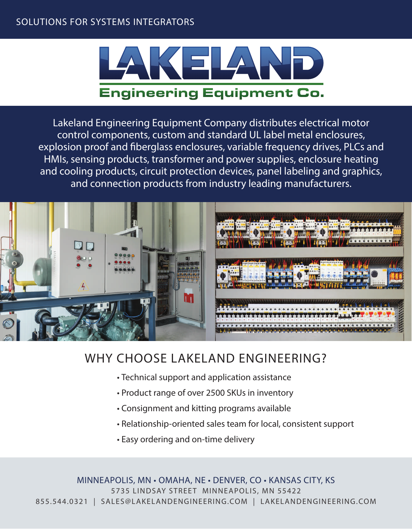# **SOLUTIONS FOR SYSTEMS INTEGRATORS**



**Lakeland Engineering Equipment Company distributes electrical motor control components, custom and standard UL label metal enclosures,**  explosion proof and fiberglass enclosures, variable frequency drives, PLCs and **HMIs, sensing products, transformer and power supplies, enclosure heating and cooling products, circuit protection devices, panel labeling and graphics, and connection products from industry leading manufacturers.** 



# **WHY CHOOSE LAKELAND ENGINEERING?**

- **Technical support and application assistance**
- **Product range of over 2500 SKUs in inventory**
- **Consignment and kitting programs available**
- **Relationship-oriented sales team for local, consistent support**
- **Easy ordering and on-time delivery**

**MINNEAPOLIS, MN • OMAHA, NE • DENVER, CO • KANSAS CITY, KS** 5735 LINDSAY STREET MINNEAPOLIS, MN 55422 855.544.0321 | SALES@LAKELANDENGINEERING.COM | LAKELANDENGINEERING.COM